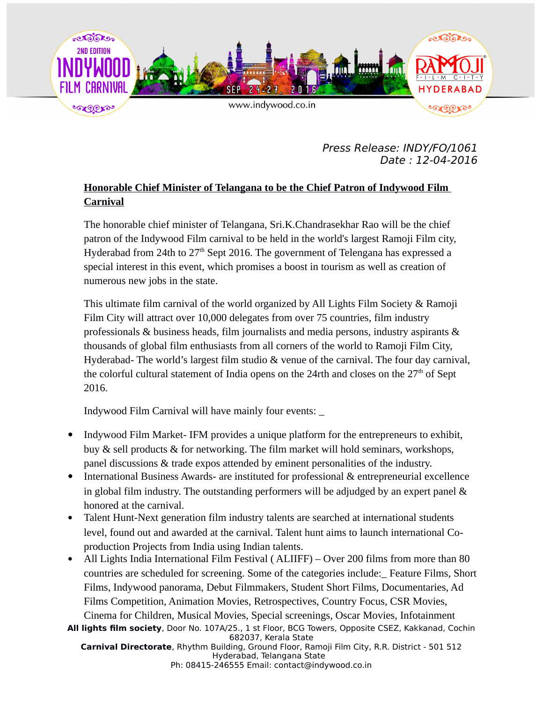

Press Release: INDY/FO/1061 Date : 12-04-2016

## **Honorable Chief Minister of Telangana to be the Chief Patron of Indywood Film Carnival**

The honorable chief minister of Telangana, Sri.K.Chandrasekhar Rao will be the chief patron of the Indywood Film carnival to be held in the world's largest Ramoji Film city, Hyderabad from 24th to  $27<sup>th</sup>$  Sept 2016. The government of Telengana has expressed a special interest in this event, which promises a boost in tourism as well as creation of numerous new jobs in the state.

This ultimate film carnival of the world organized by All Lights Film Society & Ramoji Film City will attract over 10,000 delegates from over 75 countries, film industry professionals & business heads, film journalists and media persons, industry aspirants & thousands of global film enthusiasts from all corners of the world to Ramoji Film City, Hyderabad- The world's largest film studio & venue of the carnival. The four day carnival, the colorful cultural statement of India opens on the 24rth and closes on the  $27<sup>th</sup>$  of Sept 2016.

Indywood Film Carnival will have mainly four events: \_

- Indywood Film Market-IFM provides a unique platform for the entrepreneurs to exhibit, buy & sell products & for networking. The film market will hold seminars, workshops, panel discussions & trade expos attended by eminent personalities of the industry.
- International Business Awards- are instituted for professional & entrepreneurial excellence in global film industry. The outstanding performers will be adjudged by an expert panel & honored at the carnival.
- Talent Hunt-Next generation film industry talents are searched at international students level, found out and awarded at the carnival. Talent hunt aims to launch international Coproduction Projects from India using Indian talents.
- All Lights India International Film Festival (ALIIFF) Over 200 films from more than 80 countries are scheduled for screening. Some of the categories include:\_ Feature Films, Short Films, Indywood panorama, Debut Filmmakers, Student Short Films, Documentaries, Ad Films Competition, Animation Movies, Retrospectives, Country Focus, CSR Movies, Cinema for Children, Musical Movies, Special screenings, Oscar Movies, Infotainment

**All lights film society**, Door No. 107A/25., 1 st Floor, BCG Towers, Opposite CSEZ, Kakkanad, Cochin 682037, Kerala State **Carnival Directorate**, Rhythm Building, Ground Floor, Ramoji Film City, R.R. District - 501 512 Hyderabad, Telangana State

Ph: 08415-246555 Email: contact@indywood.co.in